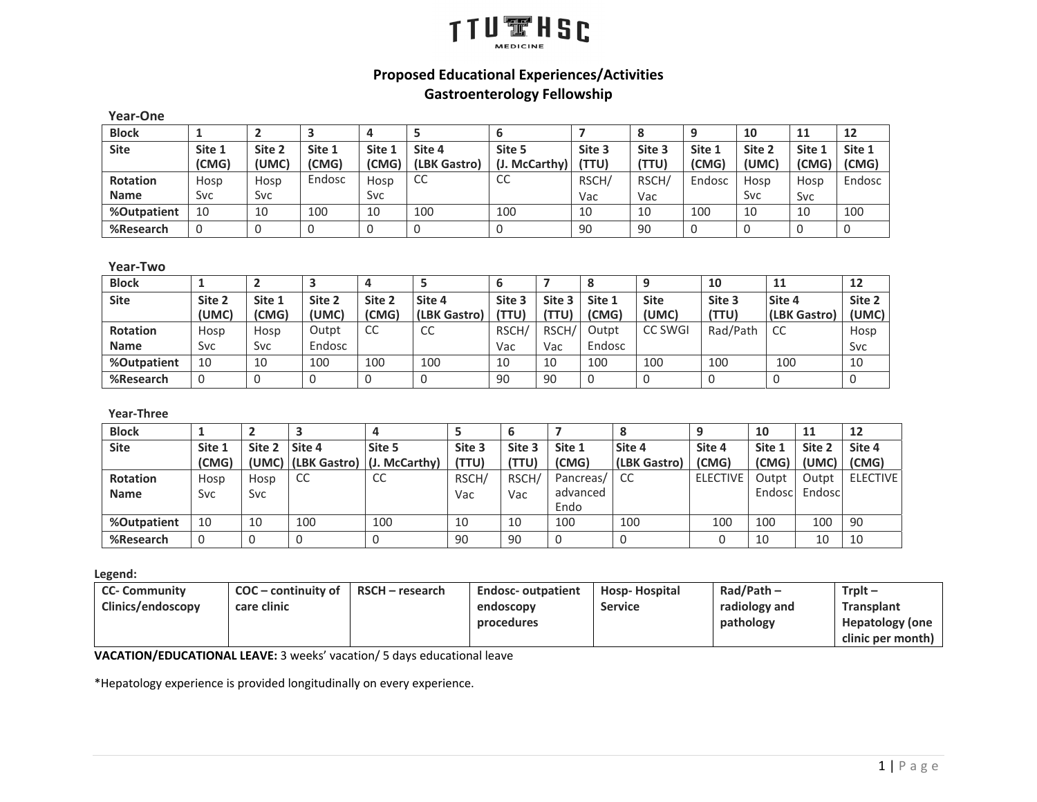

# **Proposed Educational Experiences/Activities**

# **Gastroenterology Fellowship**

|  | <b>Year-One</b> |
|--|-----------------|
|--|-----------------|

| <b>Block</b>    |                 |                 |                 |                 |                        |                         |                 |                 |                 | 10              | 11              | 12              |
|-----------------|-----------------|-----------------|-----------------|-----------------|------------------------|-------------------------|-----------------|-----------------|-----------------|-----------------|-----------------|-----------------|
| <b>Site</b>     | Site 1<br>(CMG) | Site 2<br>(UMC) | Site 1<br>'CMG) | Site 1<br>(CMG) | Site 4<br>(LBK Gastro) | Site 5<br>(J. McCarthy) | Site 3<br>(TTU) | Site 3<br>(TTU) | Site 1<br>(CMG) | Site 2<br>(UMC) | Site 1<br>(CMG) | Site 1<br>(CMG) |
|                 |                 |                 |                 |                 |                        |                         |                 |                 |                 |                 |                 |                 |
| <b>Rotation</b> | Hosp            | Hosp            | Endosc          | Hosp            | CC                     | CC                      | RSCH/           | RSCH/           | Endosc          | Hosp            | Hosp            | Endosc          |
| <b>Name</b>     | <b>Svc</b>      | <b>Svc</b>      |                 | <b>Svc</b>      |                        |                         | Vac             | Vac             |                 | Svc             | Svc             |                 |
| %Outpatient     | 10              | 10              | 100             | 10              | 100                    | 100                     | 10              | 10              | 100             | 10              | 10              | 100             |
| %Research       |                 | O               |                 |                 |                        |                         | 90              | 90              | ◡               |                 |                 | v               |

#### **Year-Two**

| <b>Block</b>    |                 |                 |                 | 4               |                        |                 |                 |                 |                      | 10              | 11                     | 12              |
|-----------------|-----------------|-----------------|-----------------|-----------------|------------------------|-----------------|-----------------|-----------------|----------------------|-----------------|------------------------|-----------------|
| <b>Site</b>     | Site 2<br>(UMC) | Site 1<br>(CMG) | Site 2<br>(UMC) | Site 2<br>(CMG) | Site 4<br>(LBK Gastro) | Site 3<br>(TTU) | Site 3<br>(TTU) | Site 1<br>(CMG) | <b>Site</b><br>(UMC) | Site 3<br>(TTU) | Site 4<br>(LBK Gastro) | Site 2<br>(UMC) |
| <b>Rotation</b> | Hosp            | Hosp            | Outpt           | <sub>CC</sub>   | $\sim$<br>UC           | RSCH            | RSCH/           | Outpt           | <b>CC SWGI</b>       | Rad/Path        | CC                     | Hosp            |
| <b>Name</b>     | <b>Svc</b>      | Svc             | Endosc          |                 |                        | Vac             | Vac             | Endosc          |                      |                 |                        | Svc             |
| %Outpatient     | 10              | 10              | 100             | 100             | 100                    | 10              | 10              | 100             | 100                  | 100             | 100                    | 10              |
| %Research       |                 |                 |                 | 0               |                        | 90              | 90              |                 |                      |                 |                        |                 |

### **Year-Three**

| <b>Block</b>    |            |        |                    |                     |             | b      |           | 8            |                 | 10      | 11     | 12              |
|-----------------|------------|--------|--------------------|---------------------|-------------|--------|-----------|--------------|-----------------|---------|--------|-----------------|
| <b>Site</b>     | Site 1     | Site 2 | Site 4             | Site 5              | Site 3      | Site 3 | Site 1    | Site 4       | Site 4          | Site 1  | Site 2 | Site 4          |
|                 | (CMG)      |        | (UMC) (LBK Gastro) | $($ J. McCarthy $)$ | (TTU)       | (TTU)  | (CMG)     | (LBK Gastro) | (CMG)           | (CMG)   | (UMC)  | (CMG)           |
| <b>Rotation</b> | Hosp       | Hosp   | CC                 | CC                  | <b>RSCH</b> | RSCH/  | Pancreas/ | <b>CC</b>    | <b>ELECTIVE</b> | Outpt   | Outpt  | <b>ELECTIVE</b> |
| <b>Name</b>     | <b>Svc</b> | Svc    |                    |                     | Vac         | Vac    | advanced  |              |                 | Endoscl | Endosc |                 |
|                 |            |        |                    |                     |             |        | Endo      |              |                 |         |        |                 |
| %Outpatient     | 10         | 10     | 100                | 100                 | 10          | 10     | 100       | 100          | 100             | 100     | 100    | 90              |
| %Research       |            |        |                    |                     | 90          | 90     |           |              |                 | 10      | 10     | 10              |

### **Legend:**

| <b>CC- Community</b> | $COC$ – continuity of | RSCH – research | <b>Endosc- outpatient</b> | <b>Hosp-Hospital</b> | Rad/Path-     | $T_{\text{rplt}}$ –    |
|----------------------|-----------------------|-----------------|---------------------------|----------------------|---------------|------------------------|
| Clinics/endoscopy    | care clinic           |                 | endoscopy                 | <b>Service</b>       | radiology and | <b>Transplant</b>      |
|                      |                       |                 | procedures                |                      | pathology     | <b>Hepatology (one</b> |
|                      |                       |                 |                           |                      |               | clinic per month)      |

**VACATION/EDUCATIONAL LEAVE:** 3 weeks' vacation/ 5 days educational leave

\*Hepatology experience is provided longitudinally on every experience.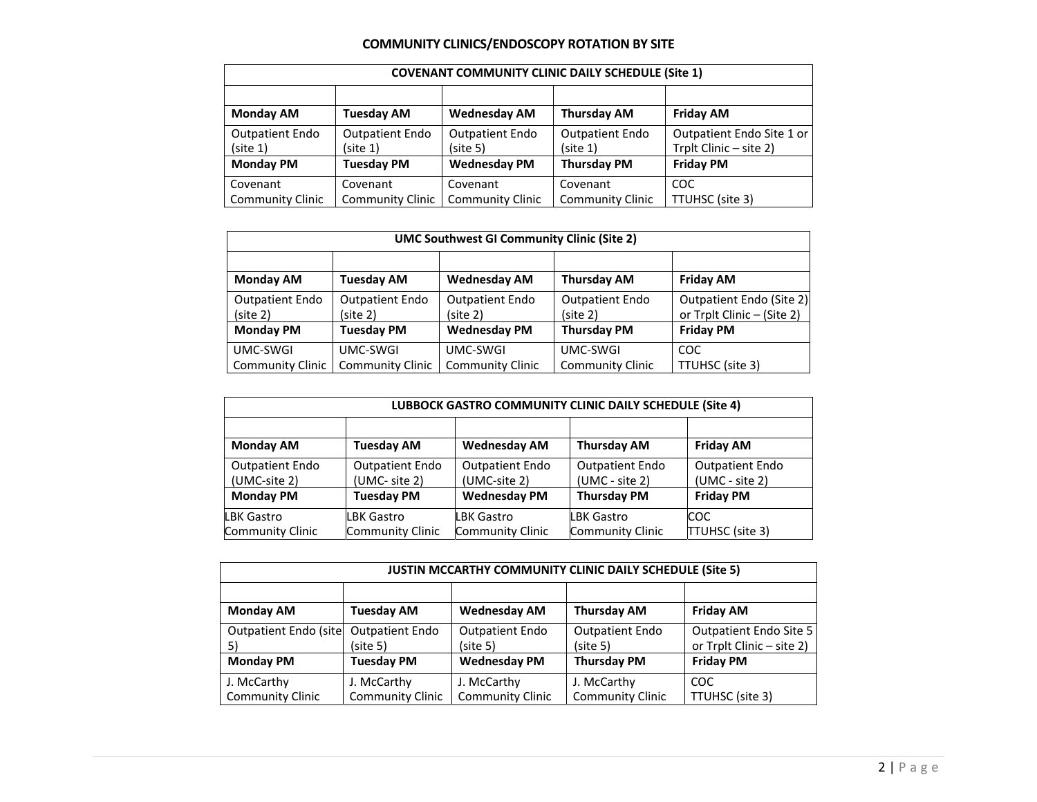## **COMMUNITY CLINICS/ENDOSCOPY ROTATION BY SITE**

| <b>COVENANT COMMUNITY CLINIC DAILY SCHEDULE (Site 1)</b> |                                     |                                     |                                     |                                                     |  |  |  |
|----------------------------------------------------------|-------------------------------------|-------------------------------------|-------------------------------------|-----------------------------------------------------|--|--|--|
|                                                          |                                     |                                     |                                     |                                                     |  |  |  |
| <b>Monday AM</b>                                         | <b>Tuesday AM</b>                   | <b>Wednesday AM</b>                 | <b>Thursday AM</b>                  | <b>Friday AM</b>                                    |  |  |  |
| <b>Outpatient Endo</b><br>(site 1)                       | <b>Outpatient Endo</b><br>(site 1)  | <b>Outpatient Endo</b><br>(site 5)  | <b>Outpatient Endo</b><br>(site 1)  | Outpatient Endo Site 1 or<br>Trplt Clinic - site 2) |  |  |  |
| <b>Monday PM</b>                                         | <b>Tuesday PM</b>                   | <b>Wednesday PM</b>                 | <b>Thursday PM</b>                  | <b>Friday PM</b>                                    |  |  |  |
| Covenant<br><b>Community Clinic</b>                      | Covenant<br><b>Community Clinic</b> | Covenant<br><b>Community Clinic</b> | Covenant<br><b>Community Clinic</b> | COC<br>TTUHSC (site 3)                              |  |  |  |

| <b>UMC Southwest GI Community Clinic (Site 2)</b> |                                     |                                     |                                                |                                                        |  |  |  |  |
|---------------------------------------------------|-------------------------------------|-------------------------------------|------------------------------------------------|--------------------------------------------------------|--|--|--|--|
|                                                   |                                     |                                     |                                                |                                                        |  |  |  |  |
| <b>Monday AM</b>                                  | <b>Tuesday AM</b>                   | <b>Wednesday AM</b>                 | <b>Thursday AM</b>                             | <b>Friday AM</b>                                       |  |  |  |  |
| <b>Outpatient Endo</b><br>(site 2)                | <b>Outpatient Endo</b><br>(site 2)  | <b>Outpatient Endo</b><br>(site 2)  | <b>Outpatient Endo</b><br>(site <sub>2</sub> ) | Outpatient Endo (Site 2)<br>or Trplt Clinic - (Site 2) |  |  |  |  |
| <b>Monday PM</b>                                  | <b>Tuesday PM</b>                   | <b>Wednesday PM</b>                 | <b>Thursday PM</b>                             | <b>Friday PM</b>                                       |  |  |  |  |
| UMC-SWGI<br>Community Clinic                      | UMC-SWGI<br><b>Community Clinic</b> | UMC-SWGI<br><b>Community Clinic</b> | UMC-SWGI<br><b>Community Clinic</b>            | <b>COC</b><br>TTUHSC (site 3)                          |  |  |  |  |

| LUBBOCK GASTRO COMMUNITY CLINIC DAILY SCHEDULE (Site 4) |                        |                         |                         |                        |  |  |  |  |
|---------------------------------------------------------|------------------------|-------------------------|-------------------------|------------------------|--|--|--|--|
|                                                         |                        |                         |                         |                        |  |  |  |  |
| <b>Monday AM</b>                                        | <b>Tuesday AM</b>      | <b>Wednesday AM</b>     | <b>Thursday AM</b>      | <b>Friday AM</b>       |  |  |  |  |
| <b>Outpatient Endo</b>                                  | <b>Outpatient Endo</b> | <b>Outpatient Endo</b>  | <b>Outpatient Endo</b>  | <b>Outpatient Endo</b> |  |  |  |  |
| (UMC-site 2)                                            | (UMC- site 2)          | (UMC-site 2)            | $(UMC - site 2)$        | (UMC - site 2)         |  |  |  |  |
| <b>Monday PM</b>                                        | <b>Tuesday PM</b>      | <b>Wednesday PM</b>     | <b>Thursday PM</b>      | <b>Friday PM</b>       |  |  |  |  |
| <b>LBK Gastro</b>                                       | LBK Gastro             | <b>LBK Gastro</b>       | BK Gastro               | <b>COC</b>             |  |  |  |  |
| <b>Community Clinic</b>                                 | Community Clinic       | <b>Community Clinic</b> | <b>Community Clinic</b> | TTUHSC (site 3)        |  |  |  |  |

| <b>JUSTIN MCCARTHY COMMUNITY CLINIC DAILY SCHEDULE (Site 5)</b> |                                        |                                        |                                        |                                                            |  |  |  |  |
|-----------------------------------------------------------------|----------------------------------------|----------------------------------------|----------------------------------------|------------------------------------------------------------|--|--|--|--|
|                                                                 |                                        |                                        |                                        |                                                            |  |  |  |  |
| <b>Monday AM</b>                                                | <b>Tuesday AM</b>                      | <b>Wednesday AM</b>                    | <b>Thursday AM</b>                     | <b>Friday AM</b>                                           |  |  |  |  |
| Outpatient Endo (site<br>5)                                     | <b>Outpatient Endo</b><br>(site 5)     | <b>Outpatient Endo</b><br>(site 5)     | <b>Outpatient Endo</b><br>(site 5)     | <b>Outpatient Endo Site 5</b><br>or Trplt Clinic - site 2) |  |  |  |  |
| <b>Monday PM</b>                                                | <b>Tuesday PM</b>                      | <b>Wednesday PM</b>                    | <b>Thursday PM</b>                     | <b>Friday PM</b>                                           |  |  |  |  |
| J. McCarthy<br><b>Community Clinic</b>                          | J. McCarthy<br><b>Community Clinic</b> | J. McCarthy<br><b>Community Clinic</b> | J. McCarthy<br><b>Community Clinic</b> | COC<br>TTUHSC (site 3)                                     |  |  |  |  |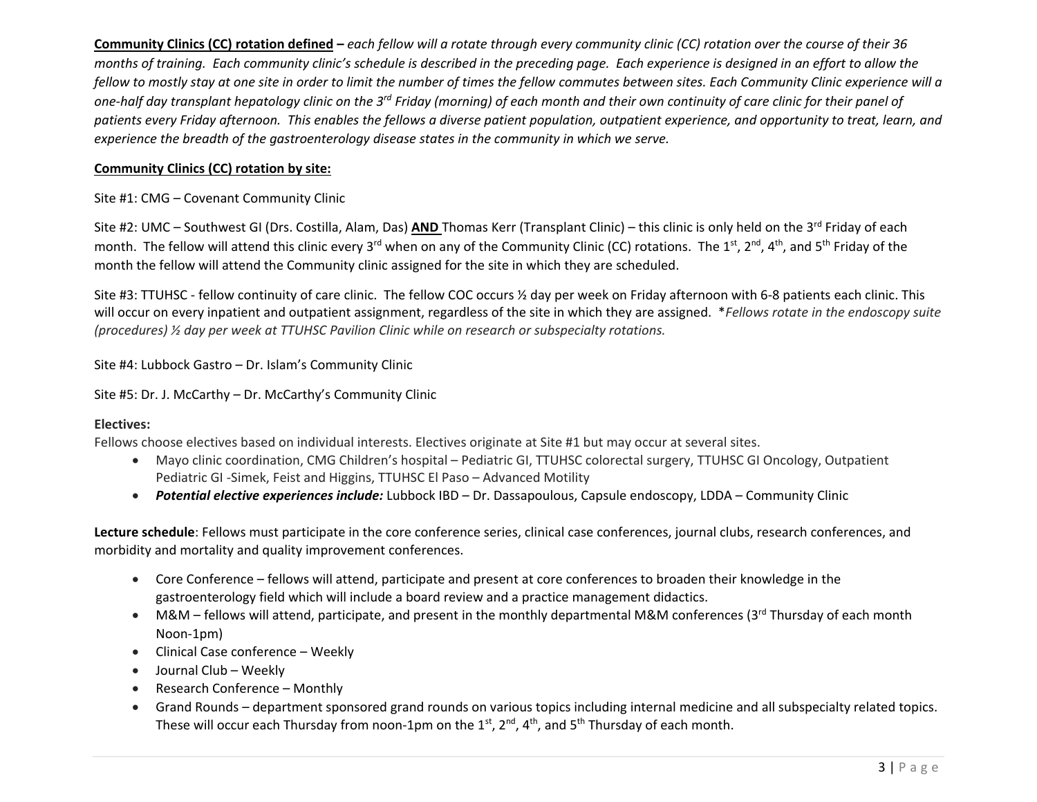**Community Clinics (CC) rotation defined –** *each fellow will a rotate through every community clinic (CC) rotation over the course of their 36 months of training. Each community clinic's schedule is described in the preceding page. Each experience is designed in an effort to allow the fellow to mostly stay at one site in order to limit the number of times the fellow commutes between sites. Each Community Clinic experience will a one-half day transplant hepatology clinic on the 3rd Friday (morning) of each month and their own continuity of care clinic for their panel of patients every Friday afternoon. This enables the fellows a diverse patient population, outpatient experience, and opportunity to treat, learn, and experience the breadth of the gastroenterology disease states in the community in which we serve.* 

## **Community Clinics (CC) rotation by site:**

Site #1: CMG – Covenant Community Clinic

Site #2: UMC – Southwest GI (Drs. Costilla, Alam, Das) **AND** Thomas Kerr (Transplant Clinic) – this clinic is only held on the 3<sup>rd</sup> Friday of each month. The fellow will attend this clinic every 3<sup>rd</sup> when on any of the Community Clinic (CC) rotations. The 1<sup>st</sup>, 2<sup>nd</sup>, 4<sup>th</sup>, and 5<sup>th</sup> Friday of the month the fellow will attend the Community clinic assigned for the site in which they are scheduled.

Site #3: TTUHSC - fellow continuity of care clinic. The fellow COC occurs ½ day per week on Friday afternoon with 6-8 patients each clinic. This will occur on every inpatient and outpatient assignment, regardless of the site in which they are assigned. \**Fellows rotate in the endoscopy suite (procedures) ½ day per week at TTUHSC Pavilion Clinic while on research or subspecialty rotations.* 

Site #4: Lubbock Gastro – Dr. Islam's Community Clinic

Site #5: Dr. J. McCarthy – Dr. McCarthy's Community Clinic

### **Electives:**

Fellows choose electives based on individual interests. Electives originate at Site #1 but may occur at several sites.

- Mayo clinic coordination, CMG Children's hospital Pediatric GI, TTUHSC colorectal surgery, TTUHSC GI Oncology, Outpatient Pediatric GI -Simek, Feist and Higgins, TTUHSC El Paso – Advanced Motility
- x *Potential elective experiences include:* Lubbock IBD Dr. Dassapoulous, Capsule endoscopy, LDDA Community Clinic

**Lecture schedule**: Fellows must participate in the core conference series, clinical case conferences, journal clubs, research conferences, and morbidity and mortality and quality improvement conferences.

- Core Conference fellows will attend, participate and present at core conferences to broaden their knowledge in the gastroenterology field which will include a board review and a practice management didactics.
- M&M fellows will attend, participate, and present in the monthly departmental M&M conferences (3<sup>rd</sup> Thursday of each month Noon-1pm)
- $\bullet$  Clinical Case conference Weekly
- Journal Club Weekly
- Research Conference Monthly
- x Grand Rounds department sponsored grand rounds on various topics including internal medicine and all subspecialty related topics. These will occur each Thursday from noon-1pm on the 1<sup>st</sup>, 2<sup>nd</sup>, 4<sup>th</sup>, and 5<sup>th</sup> Thursday of each month.